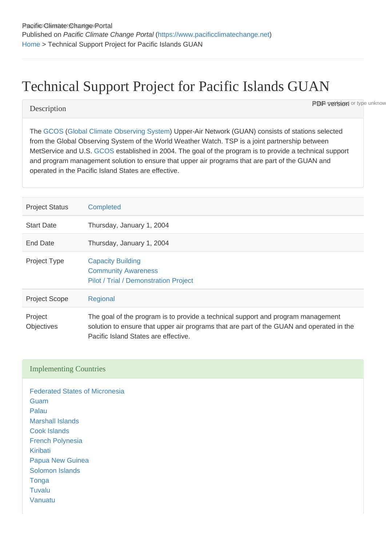# Technical Support Project for Pacific Islands GUAN

#### **Description**

**PDF version** or type unknow

The [GCOS](https://www.pacificclimatechange.net/glossary/letter_g#GCOS) [\(Global Climate Observing System\)](https://www.pacificclimatechange.net/glossary/letter_g#Global_Climate_Observing_System) Upper-Air Network (GUAN) consists of stations selected from the Global Observing System of the World Weather Watch. TSP is a joint partnership between MetService and U.S. [GCOS](https://www.pacificclimatechange.net/glossary/letter_g#GCOS) established in 2004. The goal of the program is to provide a technical support and program management solution to ensure that upper air programs that are part of the GUAN and operated in the Pacific Island States are effective.

| <b>Project Status</b> | <b>Completed</b>                                                                                                                                                                                                     |
|-----------------------|----------------------------------------------------------------------------------------------------------------------------------------------------------------------------------------------------------------------|
| <b>Start Date</b>     | Thursday, January 1, 2004                                                                                                                                                                                            |
| End Date              | Thursday, January 1, 2004                                                                                                                                                                                            |
| <b>Project Type</b>   | <b>Capacity Building</b><br><b>Community Awareness</b><br>Pilot / Trial / Demonstration Project                                                                                                                      |
| <b>Project Scope</b>  | Regional                                                                                                                                                                                                             |
| Project<br>Objectives | The goal of the program is to provide a technical support and program management<br>solution to ensure that upper air programs that are part of the GUAN and operated in the<br>Pacific Island States are effective. |

### Implementing Countries

[Federated States of Micronesia](https://www.pacificclimatechange.net/node/9482) [Guam](https://www.pacificclimatechange.net/node/9506) [Palau](https://www.pacificclimatechange.net/node/57) [Marshall Islands](https://www.pacificclimatechange.net/node/53) [Cook Islands](https://www.pacificclimatechange.net/node/9481) [French Polynesia](https://www.pacificclimatechange.net/node/9566) [Kiribati](https://www.pacificclimatechange.net/node/52) [Papua New Guinea](https://www.pacificclimatechange.net/node/58) [Solomon Islands](https://www.pacificclimatechange.net/node/59) **[Tonga](https://www.pacificclimatechange.net/node/61)** [Tuvalu](https://www.pacificclimatechange.net/node/62) [Vanuatu](https://www.pacificclimatechange.net/node/63)